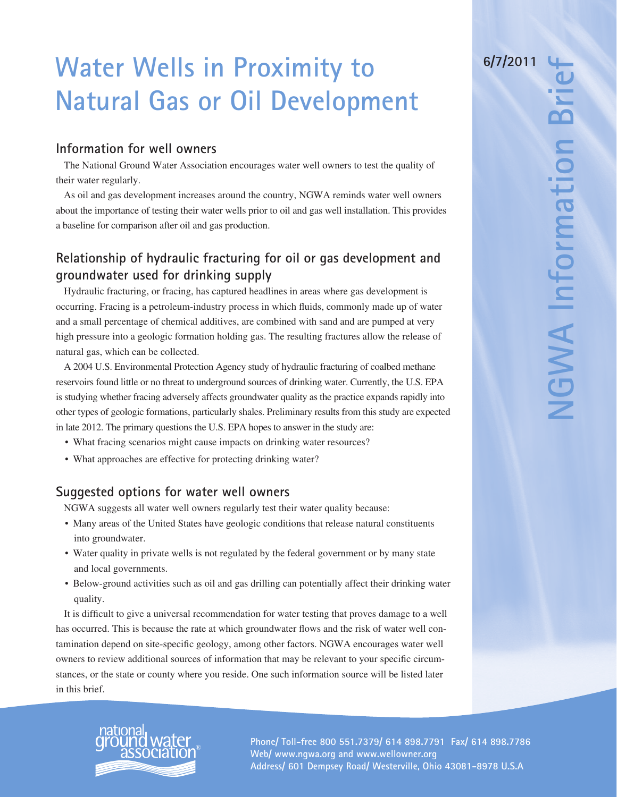# **Water Wells in Proximity to Natural Gas or Oil Development**

## **Information for well owners**

The National Ground Water Association encourages water well owners to test the quality of their water regularly.

As oil and gas development increases around the country, NGWA reminds water well owners about the importance of testing their water wells prior to oil and gas well installation. This provides a baseline for comparison after oil and gas production.

# **Relationship of hydraulic fracturing for oil or gas development and groundwater used for drinking supply**

Hydraulic fracturing, or fracing, has captured headlines in areas where gas development is occurring. Fracing is a petroleum-industry process in which fluids, commonly made up of water and a small percentage of chemical additives, are combined with sand and are pumped at very high pressure into a geologic formation holding gas. The resulting fractures allow the release of natural gas, which can be collected.

A 2004 U.S. Environmental Protection Agency study of hydraulic fracturing of coalbed methane reservoirs found little or no threat to underground sources of drinking water. Currently, the U.S. EPA is studying whether fracing adversely affects groundwater quality as the practice expands rapidly into other types of geologic formations, particularly shales. Preliminary results from this study are expected in late 2012. The primary questions the U.S. EPA hopes to answer in the study are:

- What fracing scenarios might cause impacts on drinking water resources?
- What approaches are effective for protecting drinking water?

## **Suggested options for water well owners**

NGWA suggests all water well owners regularly test their water quality because:

- Many areas of the United States have geologic conditions that release natural constituents into groundwater.
- Water quality in private wells is not regulated by the federal government or by many state and local governments.
- • Below-ground activities such as oil and gas drilling can potentially affect their drinking water quality.

It is difficult to give a universal recommendation for water testing that proves damage to a well has occurred. This is because the rate at which groundwater flows and the risk of water well contamination depend on site-specific geology, among other factors. NGWA encourages water well owners to review additional sources of information that may be relevant to your specific circumstances, or the state or county where you reside. One such information source will be listed later in this brief.



® **Phone/ Toll-free 800 551.7379/ 614 898.7791 Fax/ 614 898.7786 Web/ www.ngwa.org and www.wellowner.org Address/ 601 Dempsey Road/ Westerville, Ohio 43081-8978 U.S.A**

**6/7/2011**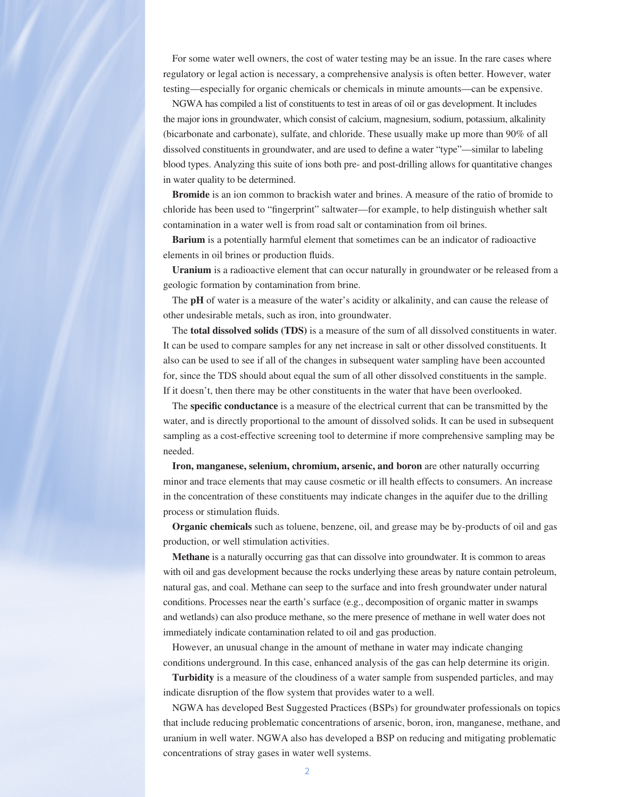For some water well owners, the cost of water testing may be an issue. In the rare cases where regulatory or legal action is necessary, a comprehensive analysis is often better. However, water testing—especially for organic chemicals or chemicals in minute amounts—can be expensive.

NGWA has compiled a list of constituents to test in areas of oil or gas development. It includes the major ions in groundwater, which consist of calcium, magnesium, sodium, potassium, alkalinity (bicarbonate and carbonate), sulfate, and chloride. These usually make up more than 90% of all dissolved constituents in groundwater, and are used to define a water "type"—similar to labeling blood types. Analyzing this suite of ions both pre- and post-drilling allows for quantitative changes in water quality to be determined.

**Bromide** is an ion common to brackish water and brines. A measure of the ratio of bromide to chloride has been used to "fingerprint" saltwater—for example, to help distinguish whether salt contamination in a water well is from road salt or contamination from oil brines.

**Barium** is a potentially harmful element that sometimes can be an indicator of radioactive elements in oil brines or production fluids.

**Uranium** is a radioactive element that can occur naturally in groundwater or be released from a geologic formation by contamination from brine.

The **pH** of water is a measure of the water's acidity or alkalinity, and can cause the release of other undesirable metals, such as iron, into groundwater.

The **total dissolved solids (TDS)** is a measure of the sum of all dissolved constituents in water. It can be used to compare samples for any net increase in salt or other dissolved constituents. It also can be used to see if all of the changes in subsequent water sampling have been accounted for, since the TDS should about equal the sum of all other dissolved constituents in the sample. If it doesn't, then there may be other constituents in the water that have been overlooked.

The **specific conductance** is a measure of the electrical current that can be transmitted by the water, and is directly proportional to the amount of dissolved solids. It can be used in subsequent sampling as a cost-effective screening tool to determine if more comprehensive sampling may be needed.

**Iron, manganese, selenium, chromium, arsenic, and boron** are other naturally occurring minor and trace elements that may cause cosmetic or ill health effects to consumers. An increase in the concentration of these constituents may indicate changes in the aquifer due to the drilling process or stimulation fluids.

**Organic chemicals** such as toluene, benzene, oil, and grease may be by-products of oil and gas production, or well stimulation activities.

**Methane** is a naturally occurring gas that can dissolve into groundwater. It is common to areas with oil and gas development because the rocks underlying these areas by nature contain petroleum, natural gas, and coal. Methane can seep to the surface and into fresh groundwater under natural conditions. Processes near the earth's surface (e.g., decomposition of organic matter in swamps and wetlands) can also produce methane, so the mere presence of methane in well water does not immediately indicate contamination related to oil and gas production.

However, an unusual change in the amount of methane in water may indicate changing conditions underground. In this case, enhanced analysis of the gas can help determine its origin.

**Turbidity** is a measure of the cloudiness of a water sample from suspended particles, and may indicate disruption of the flow system that provides water to a well.

 NGWA has developed Best Suggested Practices (BSPs) for groundwater professionals on topics that include reducing problematic concentrations of arsenic, boron, iron, manganese, methane, and uranium in well water. NGWA also has developed a BSP on reducing and mitigating problematic concentrations of stray gases in water well systems.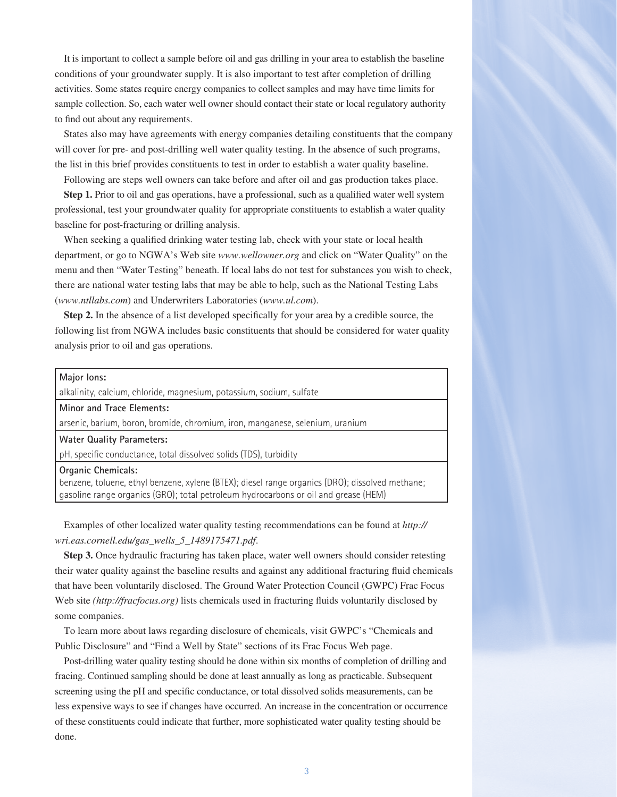It is important to collect a sample before oil and gas drilling in your area to establish the baseline conditions of your groundwater supply. It is also important to test after completion of drilling activities. Some states require energy companies to collect samples and may have time limits for sample collection. So, each water well owner should contact their state or local regulatory authority to find out about any requirements.

States also may have agreements with energy companies detailing constituents that the company will cover for pre- and post-drilling well water quality testing. In the absence of such programs, the list in this brief provides constituents to test in order to establish a water quality baseline.

Following are steps well owners can take before and after oil and gas production takes place. **Step 1.** Prior to oil and gas operations, have a professional, such as a qualified water well system professional, test your groundwater quality for appropriate constituents to establish a water quality baseline for post-fracturing or drilling analysis.

When seeking a qualified drinking water testing lab, check with your state or local health department, or go to NGWA's Web site *www.wellowner.org* and click on "Water Quality" on the menu and then "Water Testing" beneath. If local labs do not test for substances you wish to check, there are national water testing labs that may be able to help, such as the National Testing Labs (*www.ntllabs.com*) and Underwriters Laboratories (*www.ul.com*).

**Step 2.** In the absence of a list developed specifically for your area by a credible source, the following list from NGWA includes basic constituents that should be considered for water quality analysis prior to oil and gas operations.

#### **Major Ions:**

alkalinity, calcium, chloride, magnesium, potassium, sodium, sulfate

**Minor and Trace Elements:**

arsenic, barium, boron, bromide, chromium, iron, manganese, selenium, uranium

#### **Water Quality Parameters:**

pH, specific conductance, total dissolved solids (TDS), turbidity

#### **Organic Chemicals:**

benzene, toluene, ethyl benzene, xylene (BTEX); diesel range organics (DRO); dissolved methane; gasoline range organics (GRO); total petroleum hydrocarbons or oil and grease (HEM)

Examples of other localized water quality testing recommendations can be found at *http:// wri.eas.cornell.edu/gas\_wells\_5\_1489175471.pdf*.

**Step 3.** Once hydraulic fracturing has taken place, water well owners should consider retesting their water quality against the baseline results and against any additional fracturing fluid chemicals that have been voluntarily disclosed. The Ground Water Protection Council (GWPC) Frac Focus Web site *(http://fracfocus.org)* lists chemicals used in fracturing fluids voluntarily disclosed by some companies.

To learn more about laws regarding disclosure of chemicals, visit GWPC's "Chemicals and Public Disclosure" and "Find a Well by State" sections of its Frac Focus Web page.

Post-drilling water quality testing should be done within six months of completion of drilling and fracing. Continued sampling should be done at least annually as long as practicable. Subsequent screening using the pH and specific conductance, or total dissolved solids measurements, can be less expensive ways to see if changes have occurred. An increase in the concentration or occurrence of these constituents could indicate that further, more sophisticated water quality testing should be done.